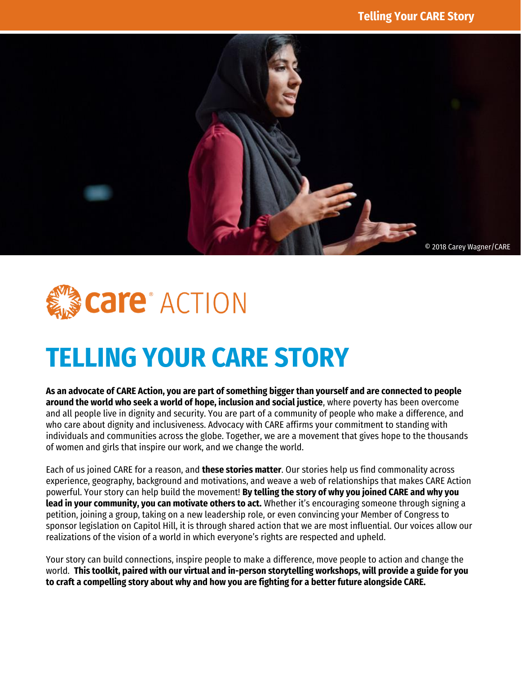



# **TELLING YOUR CARE STORY**

**As an advocate of CARE Action, you are part of something bigger than yourself and are connected to people around the world who seek a world of hope, inclusion and social justice**, where poverty has been overcome and all people live in dignity and security. You are part of a community of people who make a difference, and who care about dignity and inclusiveness. Advocacy with CARE affirms your commitment to standing with individuals and communities across the globe. Together, we are a movement that gives hope to the thousands of women and girls that inspire our work, and we change the world.

Each of us joined CARE for a reason, and **these stories matter**. Our stories help us find commonality across experience, geography, background and motivations, and weave a web of relationships that makes CARE Action powerful. Your story can help build the movement! **By telling the story of why you joined CARE and why you lead in your community, you can motivate others to act.** Whether it's encouraging someone through signing a petition, joining a group, taking on a new leadership role, or even convincing your Member of Congress to sponsor legislation on Capitol Hill, it is through shared action that we are most influential. Our voices allow our realizations of the vision of a world in which everyone's rights are respected and upheld.

Your story can build connections, inspire people to make a difference, move people to action and change the world. **This toolkit, paired with our virtual and in-person storytelling workshops, will provide a guide for you to craft a compelling story about why and how you are fighting for a better future alongside CARE.**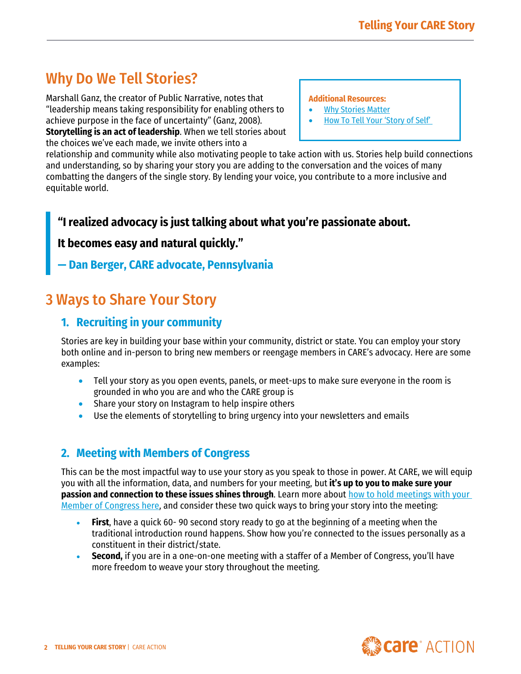# Why Do We Tell Stories?

Marshall Ganz, the creator of Public Narrative, notes that "leadership means taking responsibility for enabling others to achieve purpose in the face of uncertainty" (Ganz, 2008). **Storytelling is an act of leadership**. When we tell stories about the choices we've each made, we invite others into a

**[Additional Resources:](https://care.org/our-work/advocacy/connect/)**

- **[Why Stories Matter](https://sojo.net/magazine/march-2009/why-stories-matter)**
- How T[o Tell Your 'Story of Self'](https://billmoyers.com/content/how-to-tell-your-story-of-self/)

relationship and community while also motivating people to take action with us. Stories help build connections and understanding, so by sharing your story you are adding to the conversation and the voices of many combatting the dangers of the single story. By lending your voice, you contribute to a more inclusive and equitable world.

### **"I realized advocacy is just talking about what you're passionate about.**

#### **It becomes easy and natural quickly."**

### **— Dan Berger, CARE advocate, Pennsylvania**

## 3 Ways to Share Your Story

### **1. Recruiting in your community**

Stories are key in building your base within your community, district or state. You can employ your story both online and in-person to bring new members or reengage members in CARE's advocacy. Here are some examples:

- Tell your story as you open events, panels, or meet-ups to make sure everyone in the room is grounded in who you are and who the CARE group is
- Share your story on Instagram to help inspire others
- Use the elements of storytelling to bring urgency into your newsletters and emails

### **2. Meeting with Members of Congress**

This can be the most impactful way to use your story as you speak to those in power. At CARE, we will equip you with all the information, data, and numbers for your meeting, but **it's up to you to make sure your passion and connection to these issues shines through**. Learn more about [how to hold meetings with your](https://www.care.org/wp-content/uploads/2021/01/How-to-Hold-Successful-In-District-Meetings-Toolkit.pdf)  [Member of Congress here,](https://www.care.org/wp-content/uploads/2021/01/How-to-Hold-Successful-In-District-Meetings-Toolkit.pdf) and consider these two quick ways to bring your story into the meeting:

- **First**, have a quick 60- 90 second story ready to go at the beginning of a meeting when the traditional introduction round happens. Show how you're connected to the issues personally as a constituent in their district/state.
- **Second,** if you are in a one-on-one meeting with a staffer of a Member of Congress, you'll have more freedom to weave your story throughout the meeting.

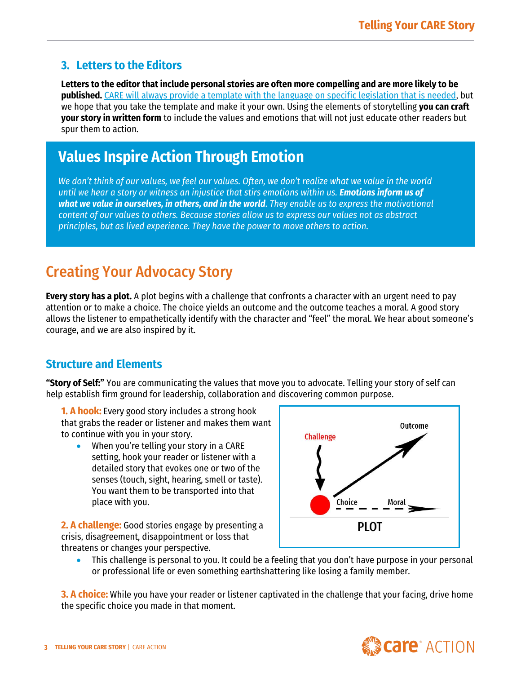### **3. Letters to the Editors**

**Letters to the editor that include personal stories are often more compelling and are more likely to be published.** [CARE will always provide a template with the language on specific legislation that is needed,](https://www.care.org/wp-content/uploads/2021/01/Send-An-Op-Ed-or-Letter-to-the-Editor-In-Your-Community-Toolkit.pdf) but we hope that you take the template and make it your own. Using the elements of storytelling **you can craft your story in written form** to include the values and emotions that will not just educate other readers but spur them to action.

# **Values Inspire Action Through Emotion**

*We don't think of our values, we feel our values. Often, we don't realize what we value in the world until we hear a story or witness an injustice that stirs emotions within us. Emotions inform us of what we value in ourselves, in others, and in the world. They enable us to express the motivational content of our values to others. Because stories allow us to express our values not as abstract principles, but as lived experience. They have the power to move others to action.* 

# Creating Your Advocacy Story

**Every story has a plot.** A plot begins with a challenge that confronts a character with an urgent need to pay attention or to make a choice. The choice yields an outcome and the outcome teaches a moral. A good story allows the listener to empathetically identify with the character and "feel" the moral. We hear about someone's courage, and we are also inspired by it.

### **Structure and Elements**

**"Story of Self:"** You are communicating the values that move you to advocate. Telling your story of self can help establish firm ground for leadership, collaboration and discovering common purpose.

**1. A hook:** Every good story includes a strong hook that grabs the reader or listener and makes them want to continue with you in your story.

When you're telling your story in a CARE setting, hook your reader or listener with a detailed story that evokes one or two of the senses (touch, sight, hearing, smell or taste). You want them to be transported into that place with you.

**2. A challenge:** Good stories engage by presenting a crisis, disagreement, disappointment or loss that threatens or changes your perspective.



• This challenge is personal to you. It could be a feeling that you don't have purpose in your personal or professional life or even something earthshattering like losing a family member.

**3. A choice:** While you have your reader or listener captivated in the challenge that your facing, drive home the specific choice you made in that moment.

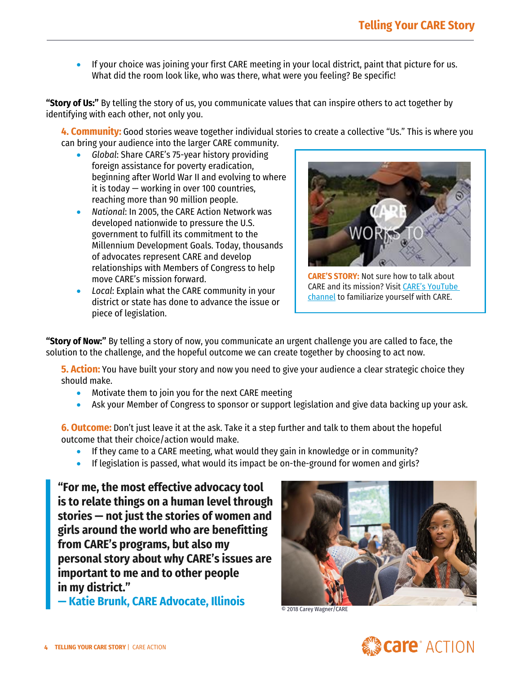• If your choice was joining your first CARE meeting in your local district, paint that picture for us. What did the room look like, who was there, what were you feeling? Be specific!

**"Story of Us:"** By telling the story of us, you communicate values that can inspire others to act together by identifying with each other, not only you.

**4. Community:** Good stories weave together individual stories to create a collective "Us." This is where you can bring your audience into the larger CARE community.

- *Global*: Share CARE's 75-year history providing foreign assistance for poverty eradication, beginning after World War II and evolving to where it is today — working in over 100 countries, reaching more than 90 million people.
- *National*: In 2005, the CARE Action Network was developed nationwide to pressure the U.S. government to fulfill its commitment to the Millennium Development Goals. Today, thousands of advocates represent CARE and develop relationships with Members of Congress to help move CARE's mission forward.
- *Local*: Explain what the CARE community in your district or state has done to advance the issue or piece of legislation.



**[CARE'S STORY](https://www.facebook.com/30139072158/videos/854563548622902):** Not sure how to talk about CARE and its mission? Visit [CARE's YouTube](https://www.youtube.com/c/care/videos)  [channel](https://www.youtube.com/c/care/videos) to familiarize yourself with CARE.

**"Story of Now:"** By telling a story of now, you communicate an urgent challenge you are called to face, the solution to the challenge, and the hopeful outcome we can create together by choosing to act now.

**5. Action:** You have built your story and now you need to give your audience a clear strategic choice they should make.

- Motivate them to join you for the next CARE meeting
- Ask your Member of Congress to sponsor or support legislation and give data backing up your ask.

**6. Outcome:** Don't just leave it at the ask. Take it a step further and talk to them about the hopeful outcome that their choice/action would make.

- If they came to a CARE meeting, what would they gain in knowledge or in community?
- If legislation is passed, what would its impact be on-the-ground for women and girls?

**"For me, the most effective advocacy tool is to relate things on a human level through stories — not just the stories of women and girls around the world who are benefitting from CARE's programs, but also my personal story about why CARE's issues are important to me and to other people in my district."**

**— Katie Brunk, CARE Advocate, Illinois**



© 2018 Carey Wagner/CARE

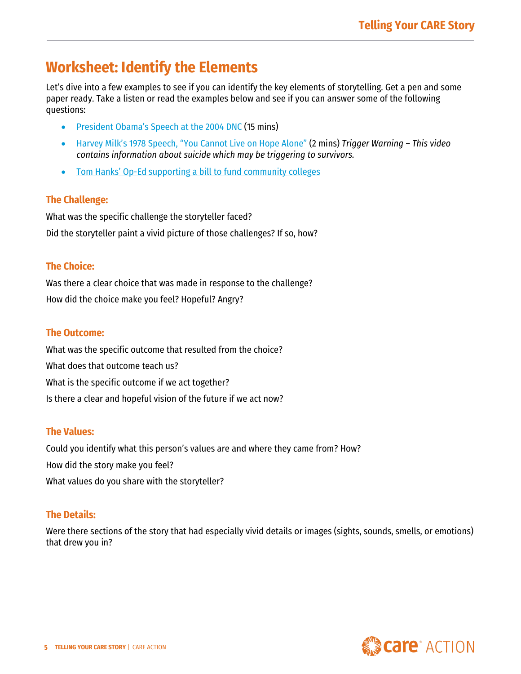## **Worksheet: Identify the Elements**

Let's dive into a few examples to see if you can identify the key elements of storytelling. Get a pen and some paper ready. Take a listen or read the examples below and see if you can answer some of the following questions:

- President [Obama's Speech at the 2004 DNC](https://www.youtube.com/watch?v=eWynt87PaJ0) (15 mins)
- Harvey Milk['s 1978 Speech, "You Cannot Live on Hope Alone"](https://www.youtube.com/watch?v=PSjgF3B4-Xw) (2 mins) *Trigger Warning – This video contains information about suicide which may be triggering to survivors.*
- Tom Hanks' Op-Ed [supporting a bill to fund community colleges](https://www.nytimes.com/2015/01/14/opinion/tom-hanks-on-his-two-years-at-chabot-college.html)

#### **The Challenge:**

What was the specific challenge the storyteller faced? Did the storyteller paint a vivid picture of those challenges? If so, how?

#### **The Choice:**

Was there a clear choice that was made in response to the challenge? How did the choice make you feel? Hopeful? Angry?

#### **The Outcome:**

What was the specific outcome that resulted from the choice? What does that outcome teach us? What is the specific outcome if we act together? Is there a clear and hopeful vision of the future if we act now?

#### **The Values:**

Could you identify what this person's values are and where they came from? How? How did the story make you feel? What values do you share with the storyteller?

#### **The Details:**

Were there sections of the story that had especially vivid details or images (sights, sounds, smells, or emotions) that drew you in?

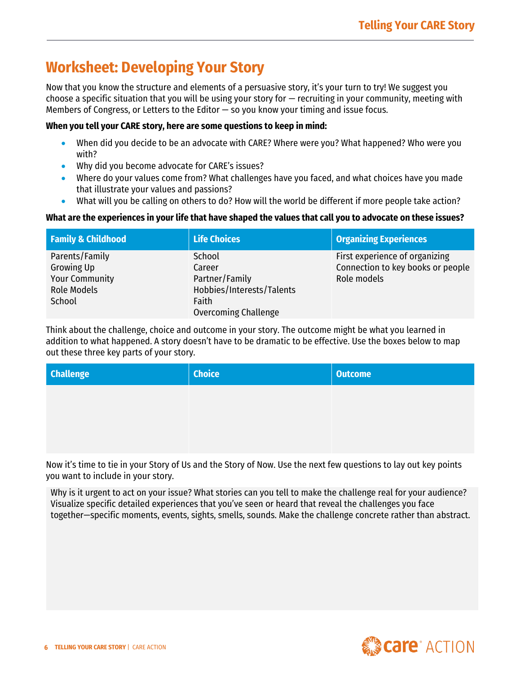# **Worksheet: Developing Your Story**

Now that you know the structure and elements of a persuasive story, it's your turn to try! We suggest you choose a specific situation that you will be using your story for — recruiting in your community, meeting with Members of Congress, or Letters to the Editor  $-$  so you know your timing and issue focus.

#### **When you tell your CARE story, here are some questions to keep in mind:**

- When did you decide to be an advocate with CARE? Where were you? What happened? Who were you with?
- Why did you become advocate for CARE's issues?
- Where do your values come from? What challenges have you faced, and what choices have you made that illustrate your values and passions?
- What will you be calling on others to do? How will the world be different if more people take action?

#### **What are the experiences in your life that have shaped the values that call you to advocate on these issues?**

| <b>Family &amp; Childhood</b> | <b>Life Choices</b>       | <b>Organizing Experiences</b>     |
|-------------------------------|---------------------------|-----------------------------------|
| Parents/Family                | School                    | First experience of organizing    |
| Growing Up                    | Career                    | Connection to key books or people |
| <b>Your Community</b>         | Partner/Family            | Role models                       |
| <b>Role Models</b>            | Hobbies/Interests/Talents |                                   |
| School                        | Faith                     |                                   |
|                               | Overcoming Challenge      |                                   |

Think about the challenge, choice and outcome in your story. The outcome might be what you learned in addition to what happened. A story doesn't have to be dramatic to be effective. Use the boxes below to map out these three key parts of your story.

| <b>Challenge</b> | <b>Choice</b> | <b>Outcome</b> |
|------------------|---------------|----------------|
|                  |               |                |
|                  |               |                |
|                  |               |                |

Now it's time to tie in your Story of Us and the Story of Now. Use the next few questions to lay out key points you want to include in your story.

Why is it urgent to act on your issue? What stories can you tell to make the challenge real for your audience? Visualize specific detailed experiences that you've seen or heard that reveal the challenges you face together—specific moments, events, sights, smells, sounds. Make the challenge concrete rather than abstract.

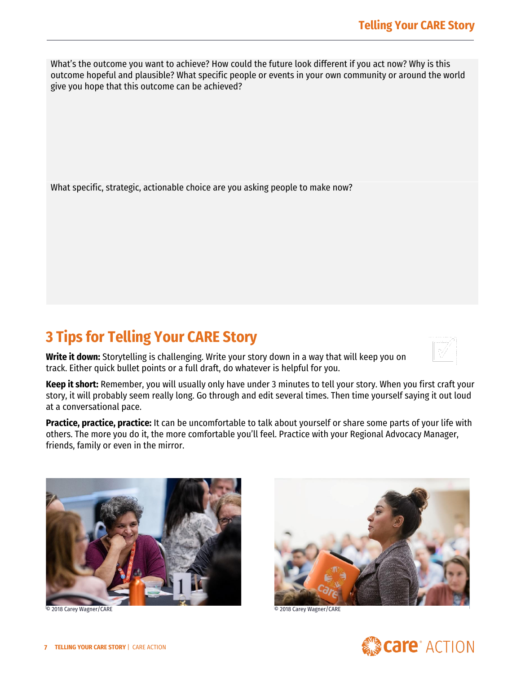What's the outcome you want to achieve? How could the future look different if you act now? Why is this outcome hopeful and plausible? What specific people or events in your own community or around the world give you hope that this outcome can be achieved?

What specific, strategic, actionable choice are you asking people to make now?

# **3 Tips for Telling Your CARE Story**

**Write it down:** Storytelling is challenging. Write your story down in a way that will keep you on track. Either quick bullet points or a full draft, do whatever is helpful for you.

**Keep it short:** Remember, you will usually only have under 3 minutes to tell your story. When you first craft your story, it will probably seem really long. Go through and edit several times. Then time yourself saying it out loud at a conversational pace.

**Practice, practice, practice:** It can be uncomfortable to talk about yourself or share some parts of your life with others. The more you do it, the more comfortable you'll feel. Practice with your Regional Advocacy Manager, friends, family or even in the mirror.



© 2018 Carey Wagner/CARE © 2018 Carey Wagner/CARE